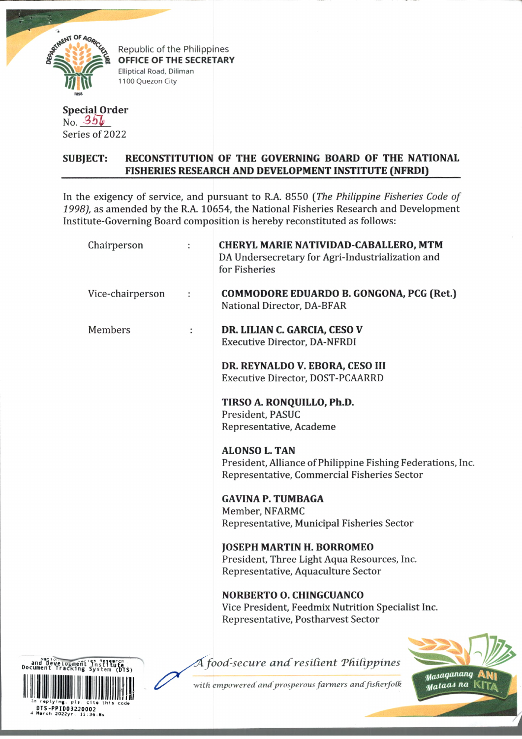

Republic of the Philippines OFFICE OF THE SECRETARY Elliptical Road, Diliman 1100 Quezon City

## **Special Order**  $No. 356$ Series of 2022

## RECONSTITUTION OF THE GOVERNING BOARD OF THE NATIONAL **SUBJECT:** FISHERIES RESEARCH AND DEVELOPMENT INSTITUTE (NFRDI)

In the exigency of service, and pursuant to R.A. 8550 (The Philippine Fisheries Code of 1998), as amended by the R.A. 10654, the National Fisheries Research and Development Institute-Governing Board composition is hereby reconstituted as follows:

| Chairperson      | ÷ | <b>CHERYL MARIE NATIVIDAD-CABALLERO, MTM</b><br>DA Undersecretary for Agri-Industrialization and<br>for Fisheries                  |
|------------------|---|------------------------------------------------------------------------------------------------------------------------------------|
| Vice-chairperson |   | <b>COMMODORE EDUARDO B. GONGONA, PCG (Ret.)</b><br>National Director, DA-BFAR                                                      |
| <b>Members</b>   | ÷ | DR. LILIAN C. GARCIA, CESO V<br><b>Executive Director, DA-NFRDI</b>                                                                |
|                  |   | DR. REYNALDO V. EBORA, CESO III<br>Executive Director, DOST-PCAARRD                                                                |
|                  |   | TIRSO A. RONQUILLO, Ph.D.<br>President, PASUC<br>Representative, Academe                                                           |
|                  |   | <b>ALONSO L. TAN</b><br>President, Alliance of Philippine Fishing Federations, Inc.<br>Representative, Commercial Fisheries Sector |
|                  |   | <b>GAVINA P. TUMBAGA</b><br>Member, NFARMC<br>Representative, Municipal Fisheries Sector                                           |
|                  |   | <b>JOSEPH MARTIN H. BORROMEO</b><br>President, Three Light Aqua Resources, Inc.<br>Representative, Aquaculture Sector              |
|                  |   | <b>NORBERTO O. CHINGCUANCO</b><br>Vice President, Feedmix Nutrition Specialist Inc.<br>Representative, Postharvest Sector          |
|                  |   |                                                                                                                                    |



A food-secure and resilient Philippines



with empowered and prosperous farmers and fisherfolk